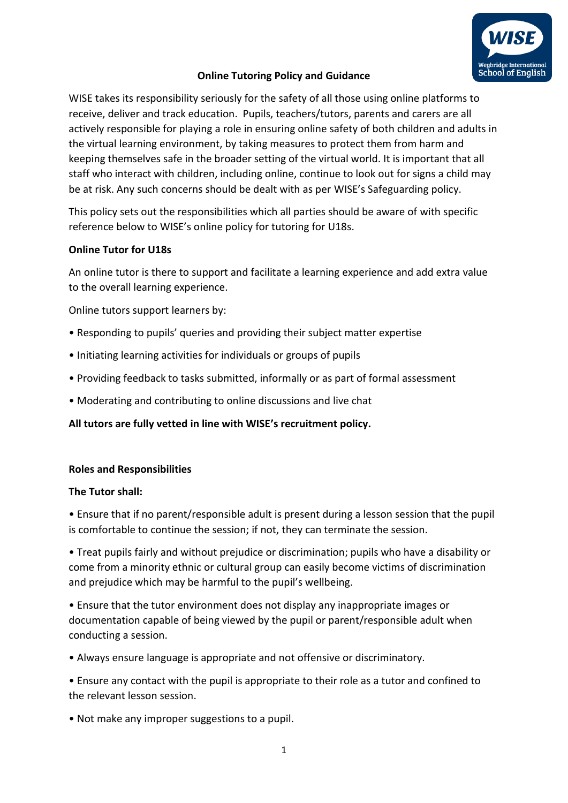

# **Online Tutoring Policy and Guidance**

WISE takes its responsibility seriously for the safety of all those using online platforms to receive, deliver and track education. Pupils, teachers/tutors, parents and carers are all actively responsible for playing a role in ensuring online safety of both children and adults in the virtual learning environment, by taking measures to protect them from harm and keeping themselves safe in the broader setting of the virtual world. It is important that all staff who interact with children, including online, continue to look out for signs a child may be at risk. Any such concerns should be dealt with as per WISE's Safeguarding policy.

This policy sets out the responsibilities which all parties should be aware of with specific reference below to WISE's online policy for tutoring for U18s.

## **Online Tutor for U18s**

An online tutor is there to support and facilitate a learning experience and add extra value to the overall learning experience.

Online tutors support learners by:

- Responding to pupils' queries and providing their subject matter expertise
- Initiating learning activities for individuals or groups of pupils
- Providing feedback to tasks submitted, informally or as part of formal assessment
- Moderating and contributing to online discussions and live chat

**All tutors are fully vetted in line with WISE's recruitment policy.** 

### **Roles and Responsibilities**

### **The Tutor shall:**

• Ensure that if no parent/responsible adult is present during a lesson session that the pupil is comfortable to continue the session; if not, they can terminate the session.

• Treat pupils fairly and without prejudice or discrimination; pupils who have a disability or come from a minority ethnic or cultural group can easily become victims of discrimination and prejudice which may be harmful to the pupil's wellbeing.

• Ensure that the tutor environment does not display any inappropriate images or documentation capable of being viewed by the pupil or parent/responsible adult when conducting a session.

• Always ensure language is appropriate and not offensive or discriminatory.

• Ensure any contact with the pupil is appropriate to their role as a tutor and confined to the relevant lesson session.

• Not make any improper suggestions to a pupil.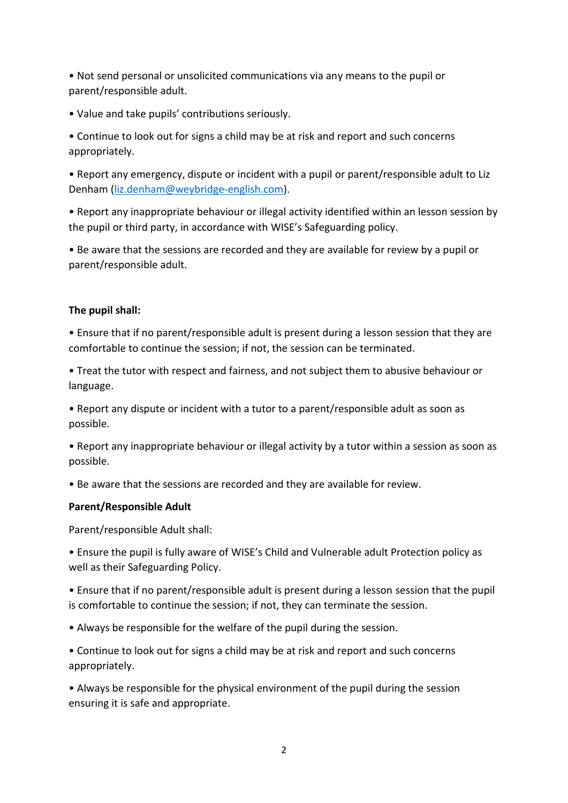• Not send personal or unsolicited communications via any means to the pupil or parent/responsible adult.

• Value and take pupils' contributions seriously.

• Continue to look out for signs a child may be at risk and report and such concerns appropriately.

• Report any emergency, dispute or incident with a pupil or parent/responsible adult to Liz Denham [\(liz.denham@weybridge-english.com\)](mailto:liz.denham@weybridge-english.com).

• Report any inappropriate behaviour or illegal activity identified within an lesson session by the pupil or third party, in accordance with WISE's Safeguarding policy.

• Be aware that the sessions are recorded and they are available for review by a pupil or parent/responsible adult.

## **The pupil shall:**

• Ensure that if no parent/responsible adult is present during a lesson session that they are comfortable to continue the session; if not, the session can be terminated.

• Treat the tutor with respect and fairness, and not subject them to abusive behaviour or language.

• Report any dispute or incident with a tutor to a parent/responsible adult as soon as possible.

• Report any inappropriate behaviour or illegal activity by a tutor within a session as soon as possible.

• Be aware that the sessions are recorded and they are available for review.

### **Parent/Responsible Adult**

Parent/responsible Adult shall:

• Ensure the pupil is fully aware of WISE's Child and Vulnerable adult Protection policy as well as their Safeguarding Policy.

• Ensure that if no parent/responsible adult is present during a lesson session that the pupil is comfortable to continue the session; if not, they can terminate the session.

• Always be responsible for the welfare of the pupil during the session.

• Continue to look out for signs a child may be at risk and report and such concerns appropriately.

• Always be responsible for the physical environment of the pupil during the session ensuring it is safe and appropriate.